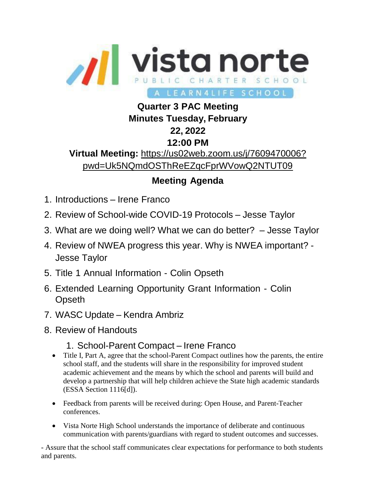

## **Quarter 3 PAC Meeting Minutes Tuesday, February 22, 2022 12:00 PM Virtual Meeting:** https://us02web.zoom.us/j/7609470006? pwd=Uk5NQmdOSThReEZqcFprWVowQ2NTUT09

## **Meeting Agenda**

- 1. Introductions Irene Franco
- 2. Review of School-wide COVID-19 Protocols Jesse Taylor
- 3. What are we doing well? What we can do better? Jesse Taylor
- 4. Review of NWEA progress this year. Why is NWEA important? Jesse Taylor
- 5. Title 1 Annual Information Colin Opseth
- 6. Extended Learning Opportunity Grant Information Colin **Opseth**
- 7. WASC Update Kendra Ambriz
- 8. Review of Handouts
	- 1. School-Parent Compact Irene Franco
	- Title I, Part A, agree that the school-Parent Compact outlines how the parents, the entire school staff, and the students will share in the responsibility for improved student academic achievement and the means by which the school and parents will build and develop a partnership that will help children achieve the State high academic standards (ESSA Section 1116[d]).
	- Feedback from parents will be received during: Open House, and Parent-Teacher conferences.
	- Vista Norte High School understands the importance of deliberate and continuous communication with parents/guardians with regard to student outcomes and successes.

- Assure that the school staff communicates clear expectations for performance to both students and parents.